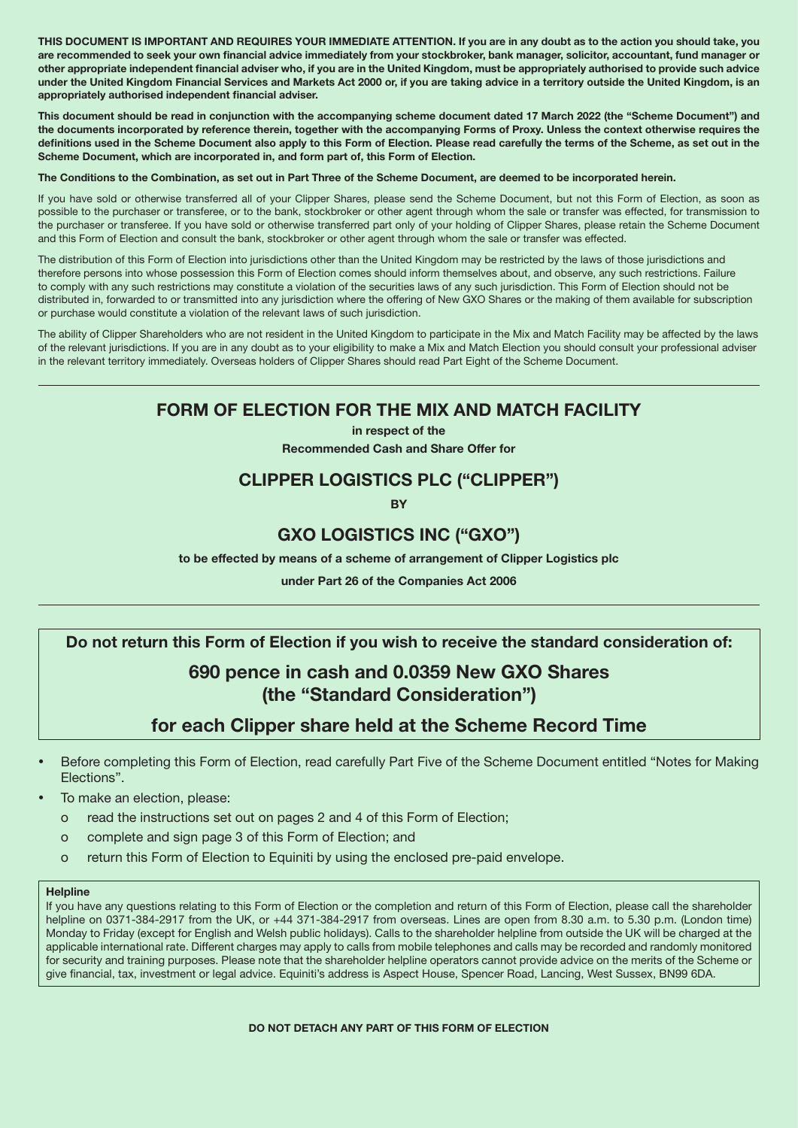THIS DOCUMENT IS IMPORTANT AND REQUIRES YOUR IMMEDIATE ATTENTION. If you are in any doubt as to the action you should take, you are recommended to seek your own financial advice immediately from your stockbroker, bank manager, solicitor, accountant, fund manager or other appropriate independent financial adviser who, if you are in the United Kingdom, must be appropriately authorised to provide such advice under the United Kingdom Financial Services and Markets Act 2000 or, if you are taking advice in a territory outside the United Kingdom, is an appropriately authorised independent financial adviser.

This document should be read in conjunction with the accompanying scheme document dated 17 March 2022 (the "Scheme Document") and the documents incorporated by reference therein, together with the accompanying Forms of Proxy. Unless the context otherwise requires the definitions used in the Scheme Document also apply to this Form of Election. Please read carefully the terms of the Scheme, as set out in the Scheme Document, which are incorporated in, and form part of, this Form of Election.

The Conditions to the Combination, as set out in Part Three of the Scheme Document, are deemed to be incorporated herein.

If you have sold or otherwise transferred all of your Clipper Shares, please send the Scheme Document, but not this Form of Election, as soon as possible to the purchaser or transferee, or to the bank, stockbroker or other agent through whom the sale or transfer was effected, for transmission to the purchaser or transferee. If you have sold or otherwise transferred part only of your holding of Clipper Shares, please retain the Scheme Document and this Form of Election and consult the bank, stockbroker or other agent through whom the sale or transfer was effected.

The distribution of this Form of Election into jurisdictions other than the United Kingdom may be restricted by the laws of those jurisdictions and therefore persons into whose possession this Form of Election comes should inform themselves about, and observe, any such restrictions. Failure to comply with any such restrictions may constitute a violation of the securities laws of any such jurisdiction. This Form of Election should not be distributed in, forwarded to or transmitted into any jurisdiction where the offering of New GXO Shares or the making of them available for subscription or purchase would constitute a violation of the relevant laws of such jurisdiction.

The ability of Clipper Shareholders who are not resident in the United Kingdom to participate in the Mix and Match Facility may be affected by the laws of the relevant jurisdictions. If you are in any doubt as to your eligibility to make a Mix and Match Election you should consult your professional adviser in the relevant territory immediately. Overseas holders of Clipper Shares should read Part Eight of the Scheme Document.

# FORM OF ELECTION FOR THE MIX AND MATCH FACILITY

in respect of the Recommended Cash and Share Offer for

# CLIPPER LOGISTICS PLC ("CLIPPER")

**RV** 

## GXO LOGISTICS INC ("GXO")

to be effected by means of a scheme of arrangement of Clipper Logistics plc

under Part 26 of the Companies Act 2006

## Do not return this Form of Election if you wish to receive the standard consideration of:

# 690 pence in cash and 0.0359 New GXO Shares (the "Standard Consideration")

# for each Clipper share held at the Scheme Record Time

- Before completing this Form of Election, read carefully Part Five of the Scheme Document entitled "Notes for Making Elections".
- To make an election, please:
	- o read the instructions set out on pages 2 and 4 of this Form of Election;
	- o complete and sign page 3 of this Form of Election; and
	- o return this Form of Election to Equiniti by using the enclosed pre-paid envelope.

## **Helpline**

If you have any questions relating to this Form of Election or the completion and return of this Form of Election, please call the shareholder helpline on 0371-384-2917 from the UK, or +44 371-384-2917 from overseas. Lines are open from 8.30 a.m. to 5.30 p.m. (London time) Monday to Friday (except for English and Welsh public holidays). Calls to the shareholder helpline from outside the UK will be charged at the applicable international rate. Different charges may apply to calls from mobile telephones and calls may be recorded and randomly monitored for security and training purposes. Please note that the shareholder helpline operators cannot provide advice on the merits of the Scheme or give financial, tax, investment or legal advice. Equiniti's address is Aspect House, Spencer Road, Lancing, West Sussex, BN99 6DA.

## DO NOT DETACH ANY PART OF THIS FORM OF ELECTION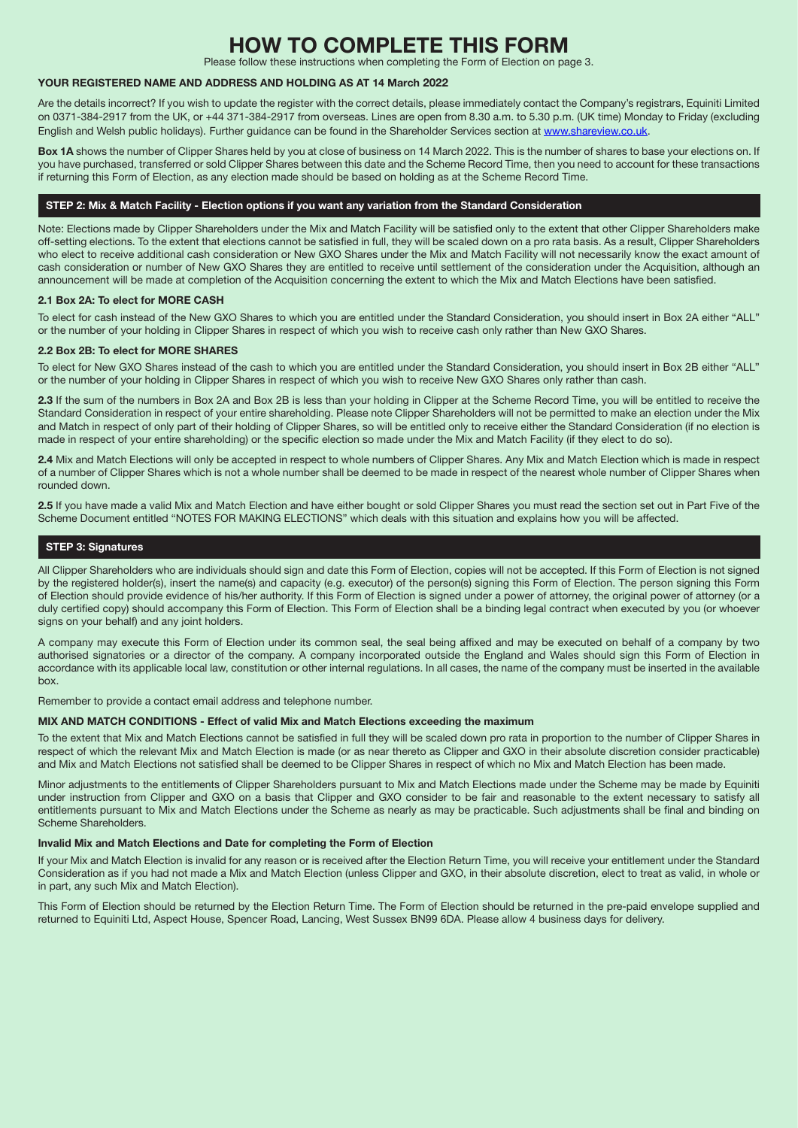# **TO COMPLETE THIS FORM**

Please follow these instructions when completing the Form of Election on page 3.

## YOUR REGISTERED NAME AND ADDRESS AND HOLDING AS AT 14 March 2022

Are the details incorrect? If you wish to update the register with the correct details, please immediately contact the Company's registrars, Equiniti Limited on 0371-384-2917 from the UK, or +44 371-384-2917 from overseas. Lines are open from 8.30 a.m. to 5.30 p.m. (UK time) Monday to Friday (excluding English and Welsh public holidays). Further guidance can be found in the Shareholder Services section at [www.shareview.co.uk](http://www.shareview.co.uk).

Box 1A shows the number of Clipper Shares held by you at close of business on 14 March 2022. This is the number of shares to base your elections on. If you have purchased, transferred or sold Clipper Shares between this date and the Scheme Record Time, then you need to account for these transactions if returning this Form of Election, as any election made should be based on holding as at the Scheme Record Time.

#### STEP 2: Mix & Match Facility - Election options if you want any variation from the Standard Consideration

Note: Elections made by Clipper Shareholders under the Mix and Match Facility will be satisfied only to the extent that other Clipper Shareholders make off-setting elections. To the extent that elections cannot be satisfied in full, they will be scaled down on a pro rata basis. As a result, Clipper Shareholders who elect to receive additional cash consideration or New GXO Shares under the Mix and Match Facility will not necessarily know the exact amount of cash consideration or number of New GXO Shares they are entitled to receive until settlement of the consideration under the Acquisition, although an announcement will be made at completion of the Acquisition concerning the extent to which the Mix and Match Elections have been satisfied.

#### 2.1 Box 2A: To elect for MORE CASH

To elect for cash instead of the New GXO Shares to which you are entitled under the Standard Consideration, you should insert in Box 2A either "ALL" or the number of your holding in Clipper Shares in respect of which you wish to receive cash only rather than New GXO Shares.

#### 2.2 Box 2B: To elect for MORE SHARES

To elect for New GXO Shares instead of the cash to which you are entitled under the Standard Consideration, you should insert in Box 2B either "ALL" or the number of your holding in Clipper Shares in respect of which you wish to receive New GXO Shares only rather than cash.

2.3 If the sum of the numbers in Box 2A and Box 2B is less than your holding in Clipper at the Scheme Record Time, you will be entitled to receive the Standard Consideration in respect of your entire shareholding. Please note Clipper Shareholders will not be permitted to make an election under the Mix and Match in respect of only part of their holding of Clipper Shares, so will be entitled only to receive either the Standard Consideration (if no election is made in respect of your entire shareholding) or the specific election so made under the Mix and Match Facility (if they elect to do so).

2.4 Mix and Match Elections will only be accepted in respect to whole numbers of Clipper Shares. Any Mix and Match Election which is made in respect of a number of Clipper Shares which is not a whole number shall be deemed to be made in respect of the nearest whole number of Clipper Shares when rounded down.

2.5 If you have made a valid Mix and Match Election and have either bought or sold Clipper Shares you must read the section set out in Part Five of the Scheme Document entitled "NOTES FOR MAKING ELECTIONS" which deals with this situation and explains how you will be affected.

### STEP 3: Signatures

All Clipper Shareholders who are individuals should sign and date this Form of Election, copies will not be accepted. If this Form of Election is not signed by the registered holder(s), insert the name(s) and capacity (e.g. executor) of the person(s) signing this Form of Election. The person signing this Form of Election should provide evidence of his/her authority. If this Form of Election is signed under a power of attorney, the original power of attorney (or a duly certified copy) should accompany this Form of Election. This Form of Election shall be a binding legal contract when executed by you (or whoever signs on your behalf) and any joint holders.

A company may execute this Form of Election under its common seal, the seal being affixed and may be executed on behalf of a company by two authorised signatories or a director of the company. A company incorporated outside the England and Wales should sign this Form of Election in accordance with its applicable local law, constitution or other internal regulations. In all cases, the name of the company must be inserted in the available box.

Remember to provide a contact email address and telephone number.

#### MIX AND MATCH CONDITIONS - Effect of valid Mix and Match Elections exceeding the maximum

To the extent that Mix and Match Elections cannot be satisfied in full they will be scaled down pro rata in proportion to the number of Clipper Shares in respect of which the relevant Mix and Match Election is made (or as near thereto as Clipper and GXO in their absolute discretion consider practicable) and Mix and Match Elections not satisfied shall be deemed to be Clipper Shares in respect of which no Mix and Match Election has been made.

Minor adjustments to the entitlements of Clipper Shareholders pursuant to Mix and Match Elections made under the Scheme may be made by Equiniti under instruction from Clipper and GXO on a basis that Clipper and GXO consider to be fair and reasonable to the extent necessary to satisfy all entitlements pursuant to Mix and Match Elections under the Scheme as nearly as may be practicable. Such adjustments shall be final and binding on Scheme Shareholders.

#### Invalid Mix and Match Elections and Date for completing the Form of Election

If your Mix and Match Election is invalid for any reason or is received after the Election Return Time, you will receive your entitlement under the Standard Consideration as if you had not made a Mix and Match Election (unless Clipper and GXO, in their absolute discretion, elect to treat as valid, in whole or in part, any such Mix and Match Election).

This Form of Election should be returned by the Election Return Time. The Form of Election should be returned in the pre-paid envelope supplied and returned to Equiniti Ltd, Aspect House, Spencer Road, Lancing, West Sussex BN99 6DA. Please allow 4 business days for delivery.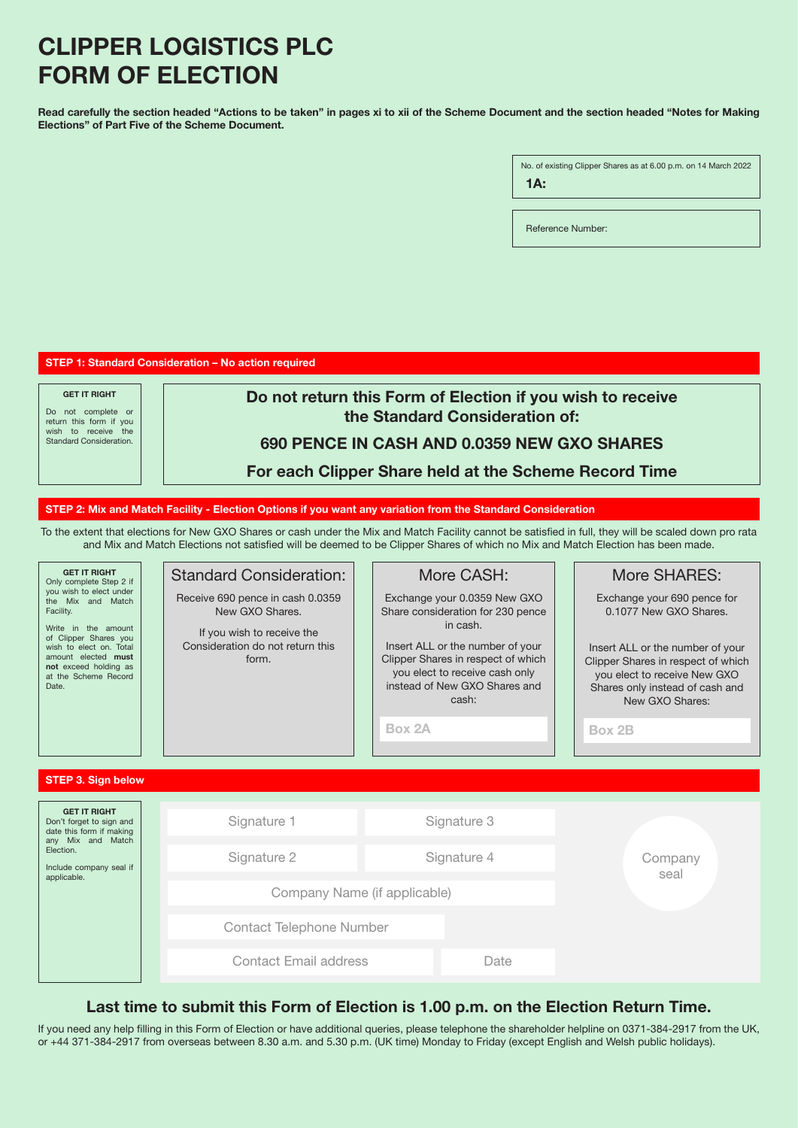# CLIPPER LOGISTICS PLC FORM OF ELECTION

Read carefully the section headed "Actions to be taken" in pages xi to xii of the Scheme Document and the section headed "Notes for Making Elections" of Part Five of the Scheme Document.

> No. of existing Clipper Shares as at 6.00 p.m. on 14 March 2022 1A:

Reference Number:

STEP 1: Standard Consideration – No action required

GET IT RIGHT Do not complete or return this form if you wish to receive the Standard Consideration.

Do not return this Form of Election if you wish to receive the Standard Consideration of:

## 690 PENCE IN CASH AND 0.0359 NEW GXO SHARES

For each Clipper Share held at the Scheme Record Time

## STEP 2: Mix and Match Facility - Election Options if you want any variation from the Standard Consideration

To the extent that elections for New GXO Shares or cash under the Mix and Match Facility cannot be satisfied in full, they will be scaled down pro rata and Mix and Match Elections not satisfied will be deemed to be Clipper Shares of which no Mix and Match Election has been made.

| <b>GET IT RIGHT</b><br>Only complete Step 2 if<br>you wish to elect under<br>the Mix and Match<br>Facility.<br>Write in the amount<br>of Clipper Shares you<br>wish to elect on. Total<br>amount elected must<br>not exceed holding as<br>at the Scheme Record<br>Date. | <b>Standard Consideration:</b><br>Receive 690 pence in cash 0.0359<br>New GXO Shares.<br>If you wish to receive the<br>Consideration do not return this<br>form. | More CASH:<br>Exchange your 0.0359 New GXO<br>Share consideration for 230 pence<br>in cash.<br>Insert ALL or the number of your<br>Clipper Shares in respect of which<br>you elect to receive cash only<br>instead of New GXO Shares and<br>cash:<br>Box 2A | More SHARES:<br>Exchange your 690 pence for<br>0.1077 New GXO Shares.<br>Insert ALL or the number of your<br>Clipper Shares in respect of which<br>you elect to receive New GXO<br>Shares only instead of cash and<br>New GXO Shares:<br>Box 2B |  |
|-------------------------------------------------------------------------------------------------------------------------------------------------------------------------------------------------------------------------------------------------------------------------|------------------------------------------------------------------------------------------------------------------------------------------------------------------|-------------------------------------------------------------------------------------------------------------------------------------------------------------------------------------------------------------------------------------------------------------|-------------------------------------------------------------------------------------------------------------------------------------------------------------------------------------------------------------------------------------------------|--|
| <b>STEP 3. Sign below</b>                                                                                                                                                                                                                                               |                                                                                                                                                                  |                                                                                                                                                                                                                                                             |                                                                                                                                                                                                                                                 |  |
| <b>GET IT RIGHT</b><br>Don't forget to sign and<br>date this form if making<br>any Mix and Match<br>Election.<br>Include company seal if<br>applicable.                                                                                                                 | Signature 1                                                                                                                                                      | Signature 3                                                                                                                                                                                                                                                 | Company<br>seal                                                                                                                                                                                                                                 |  |
|                                                                                                                                                                                                                                                                         | Signature 2                                                                                                                                                      | Signature 4                                                                                                                                                                                                                                                 |                                                                                                                                                                                                                                                 |  |
|                                                                                                                                                                                                                                                                         | Company Name (if applicable)                                                                                                                                     |                                                                                                                                                                                                                                                             |                                                                                                                                                                                                                                                 |  |
|                                                                                                                                                                                                                                                                         | <b>Contact Telephone Number</b>                                                                                                                                  |                                                                                                                                                                                                                                                             |                                                                                                                                                                                                                                                 |  |
|                                                                                                                                                                                                                                                                         | Contact Email address                                                                                                                                            | Date                                                                                                                                                                                                                                                        |                                                                                                                                                                                                                                                 |  |

## Last time to submit this Form of Election is 1.00 p.m. on the Election Return Time.

If you need any help filling in this Form of Election or have additional queries, please telephone the shareholder helpline on 0371-384-2917 from the UK, or +44 371-384-2917 from overseas between 8.30 a.m. and 5.30 p.m. (UK time) Monday to Friday (except English and Welsh public holidays).